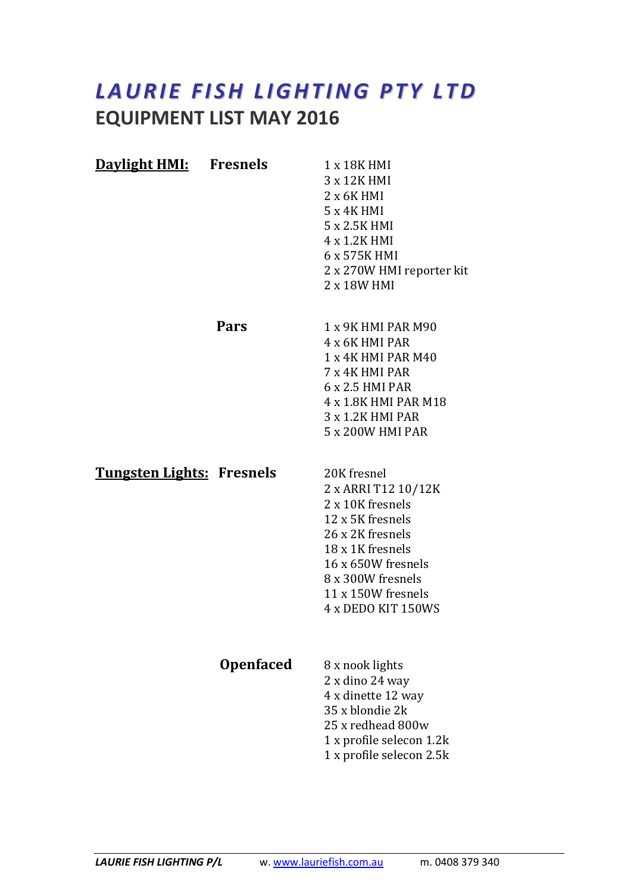## LAURIE FISH LIGHTING PTY LTD EQUIPMENT LIST MAY 2016

| <b>Daylight HMI:</b> Fresnels    |                  | 1 x 18K HMI<br>3 x 12K HMI<br>$2 \times 6K$ HMI<br>$5x4K$ HMI<br>5 x 2.5K HMI<br>4 x 1.2K HMI<br>6 x 575K HMI<br>2 x 270W HMI reporter kit<br>2 x 18W HMI                                                 |
|----------------------------------|------------------|-----------------------------------------------------------------------------------------------------------------------------------------------------------------------------------------------------------|
|                                  | Pars             | 1 x 9K HMI PAR M90<br>4 x 6K HMI PAR<br>1 x 4K HMI PAR M40<br>7 x 4K HMI PAR<br>6 x 2.5 HMI PAR<br>4 x 1.8K HMI PAR M18<br>3 x 1.2K HMI PAR<br>5 x 200W HMI PAR                                           |
| <b>Tungsten Lights: Fresnels</b> |                  | 20K fresnel<br>2 x ARRI T12 10/12K<br>2 x 10K fresnels<br>12 x 5K fresnels<br>26 x 2K fresnels<br>18 x 1K fresnels<br>16 x 650W fresnels<br>8 x 300W fresnels<br>11 x 150W fresnels<br>4 x DEDO KIT 150WS |
|                                  | <b>Openfaced</b> | 8 x nook lights<br>2 x dino 24 way<br>4 x dinette 12 way<br>35 x blondie 2k<br>25 x redhead 800w<br>1 x profile selecon 1.2k<br>1 x profile selecon 2.5k                                                  |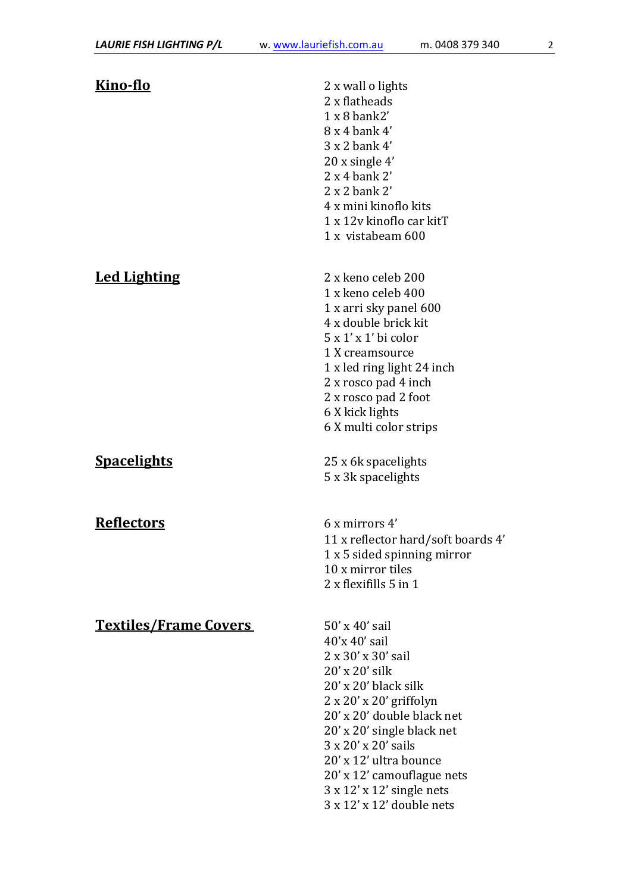| <u>Kino-flo</u>              | 2 x wall o lights<br>2 x flatheads<br>$1 x 8$ bank2'<br>$8x4$ bank $4'$<br>3 x 2 bank 4'<br>$20x$ single 4'<br>$2x 4$ bank $2'$<br>$2x2$ bank $2'$<br>4 x mini kinoflo kits<br>1 x 12v kinoflo car kitT<br>1 x vistabeam 600                                                                                                                                                                          |
|------------------------------|-------------------------------------------------------------------------------------------------------------------------------------------------------------------------------------------------------------------------------------------------------------------------------------------------------------------------------------------------------------------------------------------------------|
| <b>Led Lighting</b>          | 2 x keno celeb 200<br>1 x keno celeb 400<br>1 x arri sky panel 600<br>4 x double brick kit<br>$5x1'x1'$ bi color<br>1 X creamsource<br>1 x led ring light 24 inch<br>2 x rosco pad 4 inch<br>2 x rosco pad 2 foot<br>6 X kick lights<br>6 X multi color strips                                                                                                                                        |
| <b>Spacelights</b>           | 25 x 6k spacelights<br>5 x 3k spacelights                                                                                                                                                                                                                                                                                                                                                             |
| <b>Reflectors</b>            | $6x$ mirrors $4'$<br>11 x reflector hard/soft boards 4'<br>1 x 5 sided spinning mirror<br>10 x mirror tiles<br>$2 \times$ flexifills $5 \text{ in } 1$                                                                                                                                                                                                                                                |
| <b>Textiles/Frame Covers</b> | 50' x 40' sail<br>$40'x 40'$ sail<br>$2 \times 30' \times 30'$ sail<br>$20'$ x $20'$ silk<br>$20'$ x $20'$ black silk<br>$2 \times 20' \times 20'$ griffolyn<br>20' x 20' double black net<br>20' x 20' single black net<br>$3 \times 20' \times 20'$ sails<br>20' x 12' ultra bounce<br>20' x 12' camouflague nets<br>$3 \times 12' \times 12'$ single nets<br>$3 \times 12' \times 12'$ double nets |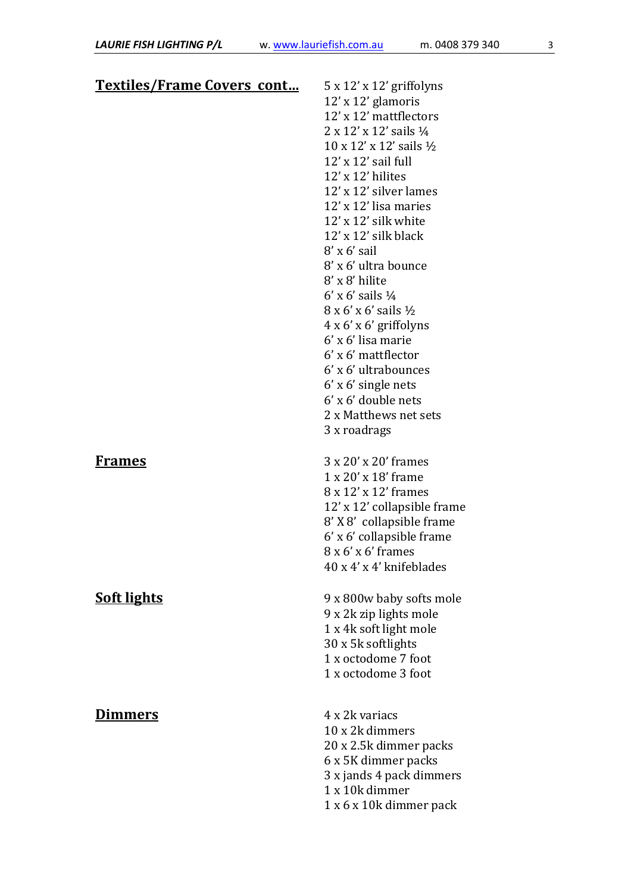| <b>Textiles/Frame Covers cont</b> | $5 \times 12' \times 12'$ griffolyns           |
|-----------------------------------|------------------------------------------------|
|                                   | 12' x 12' glamoris                             |
|                                   | 12' x 12' mattflectors                         |
|                                   | $2 \times 12' \times 12'$ sails $\frac{1}{4}$  |
|                                   | $10 \times 12' \times 12'$ sails $\frac{1}{2}$ |
|                                   | $12'$ x $12'$ sail full                        |
|                                   | 12' x 12' hilites                              |
|                                   | 12' x 12' silver lames                         |
|                                   | $12'$ x $12'$ lisa maries                      |
|                                   | $12'$ x $12'$ silk white                       |
|                                   | 12' x 12' silk black                           |
|                                   | $8'$ x 6' sail                                 |
|                                   | 8' x 6' ultra bounce                           |
|                                   | $8'$ x $8'$ hilite                             |
|                                   | 6' x 6' sails $\frac{1}{4}$                    |
|                                   | 8 x 6' x 6' sails ½                            |
|                                   | $4 \times 6' \times 6'$ griffolyns             |
|                                   | $6'$ x $6'$ lisa marie                         |
|                                   | $6'$ x $6'$ mattflector                        |
|                                   | 6' x 6' ultrabounces                           |
|                                   | $6'$ x $6'$ single nets                        |
|                                   | $6'$ x $6'$ double nets                        |
|                                   | 2 x Matthews net sets                          |
|                                   | 3 x roadrags                                   |
|                                   |                                                |
| <u>Frames</u>                     | 3 x 20' x 20' frames                           |
|                                   | $1 \times 20' \times 18'$ frame                |
|                                   | 8 x 12' x 12' frames                           |
|                                   | 12' x 12' collapsible frame                    |
|                                   | 8' X 8' collapsible frame                      |
|                                   | 6' x 6' collapsible frame                      |
|                                   | $8x6'x6'$ frames                               |
|                                   | 40 x 4' x 4' knifeblades                       |
| <b>Soft lights</b>                | 9 x 800w baby softs mole                       |
|                                   | 9 x 2k zip lights mole                         |
|                                   | 1 x 4k soft light mole                         |
|                                   | 30 x 5k softlights                             |
|                                   | 1 x octodome 7 foot                            |
|                                   | 1 x octodome 3 foot                            |
|                                   |                                                |
| <b>Dimmers</b>                    | 4 x 2k variacs                                 |
|                                   | 10 x 2k dimmers                                |
|                                   | 20 x 2.5k dimmer packs                         |
|                                   | 6 x 5K dimmer packs                            |
|                                   | 3 x jands 4 pack dimmers                       |
|                                   | 1 x 10k dimmer                                 |
|                                   | 1 x 6 x 10k dimmer pack                        |
|                                   |                                                |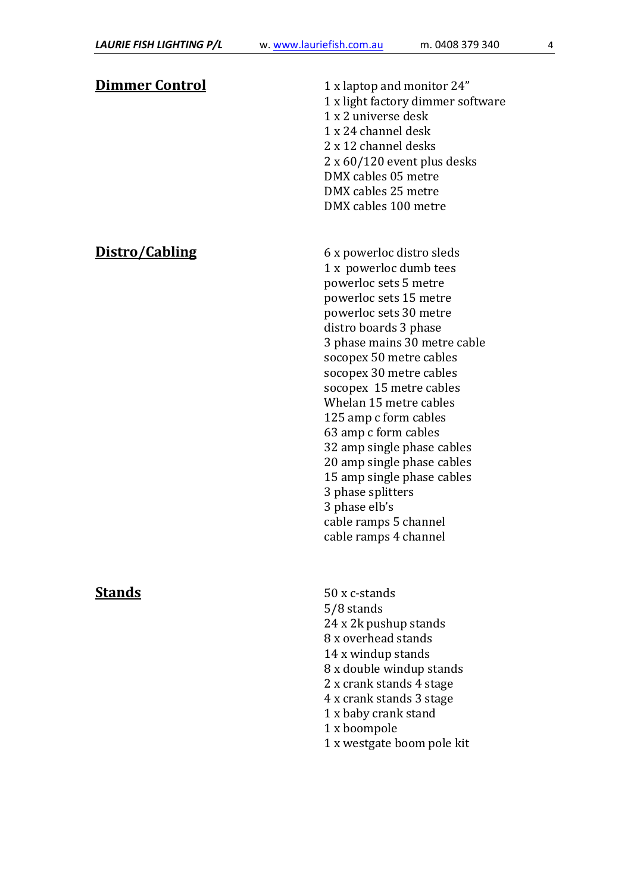| <u>Dimmer Control</u> | 1 x laptop and monitor 24"<br>1 x light factory dimmer software<br>1 x 2 universe desk<br>1 x 24 channel desk<br>2 x 12 channel desks<br>$2 \times 60/120$ event plus desks<br>DMX cables 05 metre<br>DMX cables 25 metre<br>DMX cables 100 metre                                                                                                                                                                                                                                                                                       |
|-----------------------|-----------------------------------------------------------------------------------------------------------------------------------------------------------------------------------------------------------------------------------------------------------------------------------------------------------------------------------------------------------------------------------------------------------------------------------------------------------------------------------------------------------------------------------------|
| Distro/Cabling        | 6 x powerloc distro sleds<br>1 x powerloc dumb tees<br>powerloc sets 5 metre<br>powerloc sets 15 metre<br>powerloc sets 30 metre<br>distro boards 3 phase<br>3 phase mains 30 metre cable<br>socopex 50 metre cables<br>socopex 30 metre cables<br>socopex 15 metre cables<br>Whelan 15 metre cables<br>125 amp c form cables<br>63 amp c form cables<br>32 amp single phase cables<br>20 amp single phase cables<br>15 amp single phase cables<br>3 phase splitters<br>3 phase elb's<br>cable ramps 5 channel<br>cable ramps 4 channel |
| <b>Stands</b>         | 50 x c-stands<br>5/8 stands<br>24 x 2k pushup stands<br>8 x overhead stands<br>14 x windup stands<br>8 x double windup stands<br>2 x crank stands 4 stage<br>4 x crank stands 3 stage<br>1 x baby crank stand<br>1 x boompole<br>1 x westgate boom pole kit                                                                                                                                                                                                                                                                             |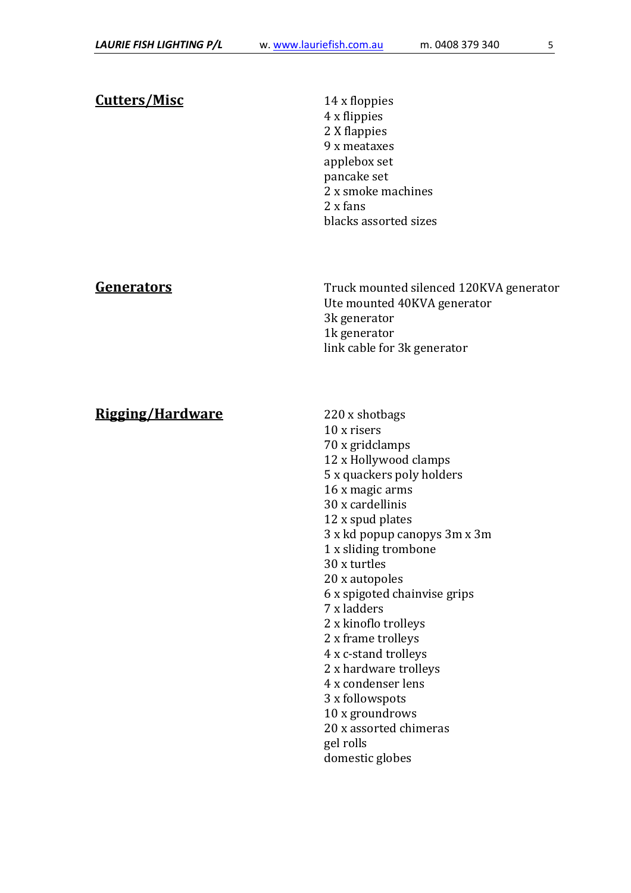Cutters/Misc 14 x floppies 4 x flippies 2 X flappies 9 x meataxes applebox set pancake set 2 x smoke machines 2 x fans blacks assorted sizes

Generators Truck mounted silenced 120KVA generator Ute mounted 40KVA generator 3k generator 1k generator link cable for 3k generator

## Rigging/Hardware 220 x shotbags

 10 x risers 70 x gridclamps 12 x Hollywood clamps 5 x quackers poly holders 16 x magic arms 30 x cardellinis 12 x spud plates 3 x kd popup canopys 3m x 3m 1 x sliding trombone 30 x turtles 20 x autopoles 6 x spigoted chainvise grips 7 x ladders 2 x kinoflo trolleys 2 x frame trolleys 4 x c-stand trolleys 2 x hardware trolleys 4 x condenser lens 3 x followspots 10 x groundrows 20 x assorted chimeras gel rolls domestic globes